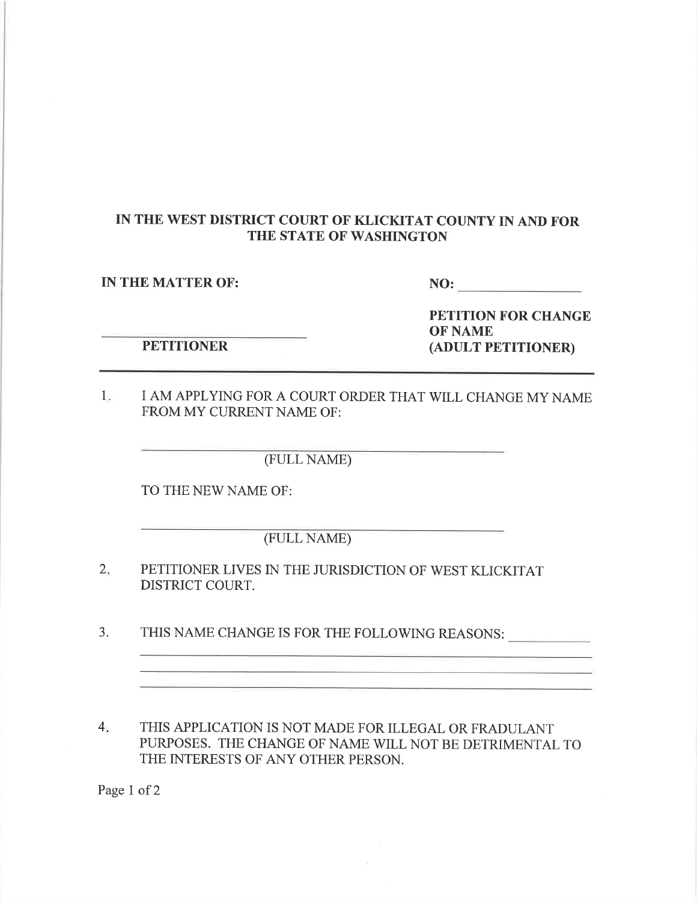## IN THE WEST DISTRICT COURT OF KLICKITAT COUNTY IN AND FOR THE STATE OF WASHINGTON

IN THE MATTER OF: NO:

**PETITIONER** 

PETITION FOR CHANGE OF NAME (ADULT PETITIONER)

1. I AM APPLYING FOR A COURT ORDER THAT WILL CHANGE MY NAME FROM MY CURRENT NAME OF:

(FULL NAME)

TO THE NEW NAME OF:

(FULL NAME)

- PETITIONER LIVES IN THE JURISDICTION OF WEST KLICKITAT DISTRICT COURT. 2.
- 3. THIS NAME CHANGE IS FOR THE FOLLOWING REASONS:
- 4 THIS APPLICATION IS NOT MADE FOR ILLEGAL OR FRADULANT PURPOSES. THE CHANGE OF NAME WILL NOT BE DETRIMENTAL TO THE INTERESTS OF ANY OTHER PERSON.

Page 1 of 2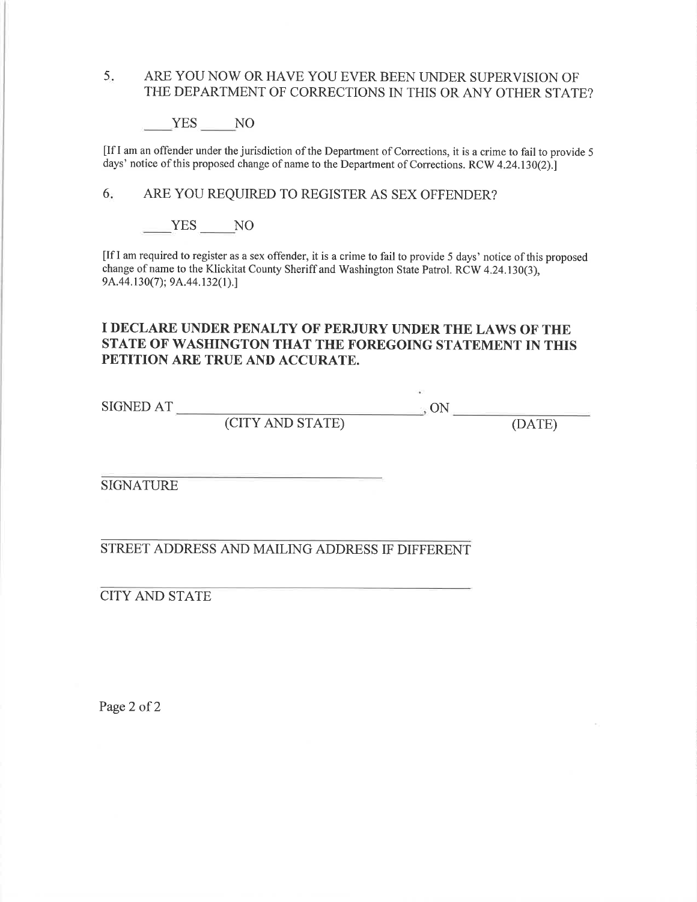### 5. ARE YOU NOW OR HAVE YOU EVER BEEN UNDER SUPERVISION OF THE DEPARTMENT OF CORRECTIONS IN THIS OR ANY OTHER STATE?

YES NO

[If I am an offender under the jurisdiction of the Department of Corrections, it is a crime to fail to provide <sup>5</sup> days' notice of this proposed change of name to the Department of Corrections. RCW 4.24.130(2).

6 ARE YOU REQUIRED TO REGISTER AS SEX OFFENDER?

YES NO

[Ifl am required to register as a sex offender, it is a crime to fail to provide 5 days' notice ofthis proposed change of name to the Klickitat County Sheriff and Washington State Patrol. RCW 4.24.130(3), 9A.44.130(7); 9A.44.132(1).]

#### I DECLARE UNDER PENALTY OF'PERJURY UNDER THE LAWS OF THE STATE OF WASHINGTON THAT THE FOREGOING STATEMENT IN THIS PETITION ARE TRUE AND ACCURATE.

 $\begin{picture}(180,170)(-30,0){\small \times 10^{-4}} \put(15,17){\small \times 10^{-4}} \put(15,17){\small \times 10^{-4}} \put(15,17){\small \times 10^{-4}} \put(15,17){\small \times 10^{-4}} \put(15,17){\small \times 10^{-4}} \put(15,17){\small \times 10^{-4}} \put(15,17){\small \times 10^{-4}} \put(15,17){\small \times 10^{-4}} \put(15,17){\small \times 10^{-4}} \put(15,17){\small \times 10^{-4}} \$ 

(CITY AND STATE) (DATE)

SIGNATURE

STREET ADDRESS AND MAILING ADDRESS IF DIFFERENT

CITY AND STATE

Page 2 of 2